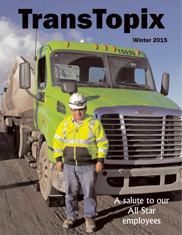# TransTopix

Winter 2015

**CREABHTLINER** 

15635

A salute to our All Star employees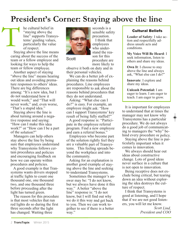# **President's Corner: Staying above the line**

he cultural belief in "staying above the line" supports Transystems' guiding values, particularly the value of respect.

Staying above the line means caring about the success of the team or <sup>a</sup> fellow employee and looking for ways to help the team or fellow employee.

T

Another aspec<sup>t</sup> of staying "above the line" means hearing out ideas and avoiding premature responses to others' ideas. There are big differences among: "It's <sup>a</sup> new idea, but I do not understand how it would work;" and "That will never work;" and, even worse, "That's <sup>a</sup> stupid idea."

Staying above the line is about turning around <sup>a</sup> negative response and saying: "How can I make this idea work?" or "How can I be <sup>a</sup> par<sup>t</sup> of the solution?"

Managers can help others stay above the line by being sure that employees understand why Transystems follows certain procedures and policies and encouraging feedback on how we can operate within procedures and policies.

A good example is that Transystems wants drivers stopped at traffic lights to count one thousand one, one thousand two, and one thousand three before proceeding after the light has turned green.

The reason for this procedure is that most vehicles that run red lights do so during the first three seconds after the light has changed. Waiting three



**Scott** 

seconds is <sup>a</sup> sensible safety precaution. I think that employees who understand the reason for this procedure are more likely to

observe it both on duty and in their personal vehicles.

We can do a better job of explaining the reasons behind procedures. Line employees are responsible to ask about the reasons behind procedures that they do not understand.

Asking: "What else can I do?" is easy. For example, an employee might ask: "How can I suppor<sup>t</sup> Transystems' key result of being fully staffed?"

A good response is: "Participate in the employee referral program. Find <sup>a</sup> new employee and earn <sup>a</sup> referral bonus."

Employees who become par<sup>t</sup> of the solution rightly feel they are <sup>a</sup> valuable par<sup>t</sup> of Transystems. This feeling spreads beyond the workplace and into the community.

Asking for an explanation is another good example of staying above the line and seeking to understand Transystems.

Sometimes the manager's answer may be: "I do not know, but we always have done it this way." A better "above the line" response is: "I do not know, but I will find out why we do it this way and ge<sup>t</sup> back to you. Then we can work together to see if there is <sup>a</sup> better way."

#### Cultural Beliefs

**Leader of Safety**: I take action and respectfully address unsafe acts and conditions.

**My Voice Will Be Heard**: I seek information, listen to others and share my ideas.

**Own It**: I choose to stay above the line and always ask, "What else can I do?"

**Innovate**: I explore and share my ideas.

**Unleash Potential:** I am eager to learn. I am eager to teach. I am eager to grow.

It is important for employees to understand that at times the manager may not know why Transystems has <sup>a</sup> particular procedure. We do not always do <sup>a</sup> good job of communicating to managers the "why" behind every procedure or policy.

Staying above the line is particularly important when it comes to innovation.

We always should hear out ideas about constructive change. Lots of good ideas never surface in <sup>a</sup> culture that is not open to innovation.

Being receptive does not exclude being critical, but tearing down an idea without exploring the idea destroys the culture of respect.

I think that Transystems is good at listening, and I hope that if we are not good listeners, you will let me know.

> *Scott Lind, President and COO*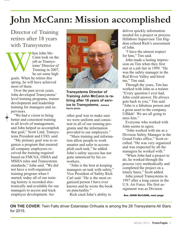# **John McCann: Mission accomplished**

Director of Training retires after 18 years with Transystems



hen John Mc-Cann took on the job as Transystems' Director of Training in 2007, he set some high

goals. When he retires this spring, he will have achieved most of them.

Over the past seven years, John developed Transystems' level training programs, trainer development and leadership training for managers and supervisors.

"We had a vision to bring better and consistent training to all levels of management, and John helped us accomplish that goal," Scott Lind, Transystems President and COO, said.

"My primary goal was to organize a program that ensured all company employees received the training required based on FMCSA, OSHA and MSHA rules and Transystems standards," John said. "We did not have a well-organized training program when I started; today all of our training history is recorded electronically and available for our managers to access and track employee development. An-



**Transystems Director of Training John McCann is retiring after 18 years of service to Transystems. Jessica Harris photo**

other goal was to make sure we were uniform and consistent in all of our training programs and the information provided to our employees."

"More training and information allow people to work smarter and safer to accomplish each task," he added. John's safety success has not gone unnoticed by his coworkers.

"John is the best at keeping managers on task with safety," Vice President of Safety Rich Carl said. "He is the most organized person I have ever known and he wrote the book on punctuality."

Rich cited John's ability to

deliver quickly information needed for a project or process. Hillsboro Supervisor Tim Higdem echoed Rich's assessment of John.

"I have the utmost respect for him," Tim said.

John made a lasting impression on Tim when they first met at a job fair in 1999. "He was the safety manager in the Red River Valley and hired me," Tim said.

Through the years, Tim has worked with John as a trainer. "Every question I ever had, John could answer. He always gets back to you," Tim said. "John is a fabulous person and a great asset to the company. Uffdah! We are all going to miss him."

Everyone who worked with John seems to agree.

"John worked with me as a Division Safety Manager in the Grand Forks office," Scott recalled. "He was very organized and was respected by all the managers he worked with."

"When John had a project to do, he worked through the process very methodically and completed the project on a timely basis," Scott added.

John joined Transystems in 1997 after a long career in the U.S. Air Force. His first assignment was as Division

See JOHN McCANN, next page

**ON THE COVER**: Twin Falls driver Estanislao Orihuela is among the 28 Transystems All Stars for 2015.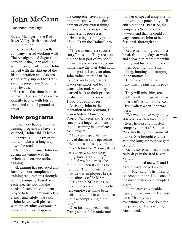# **John McCann**

Continued from Page 3

Safety Manager in the Red River Valley. Rich succeeded him in that job.

Four years later, when the company started working with The Amalgamated Sugar Company in Idaho, John and his wife, Susan, headed west. John helped with the start up of the Idaho operation and also provided safety support for Transystems projects in Wyoming and Nevada.

He recalls that time in his career with Transystems as occasionally hectic, with lots of travel and a lot of ground to cover.

### New programs

"I am very happy with the training program we have developed," John said. "I leave the company with a program that will take us a long way down the road."

The biggest change John saw during his tenure was the switch to electronic online training.

"eLearning has provided uniformity to our compliance training requirements throughout the company, based on each specific job, and the needs of each individual employee to help them work efficiently and safely," he said.

John leaves well pleased with the learning programs in place. "I am very happy with

the comprehensive training programs and with the development of our own training videos to focus on specific Transystems processes."

He also is justifiably proud of his "Train the Trainer" pro gram.

"The trainers are a success story," he said. "They are actually the best part of my job."

Line employees who become trainers are the ones John holds up for praise. Last year alone, John trained more than 70 trainers, including drivers, loader operators and technicians, who took what they learned back to their projects to share with the company's 1,000-plus employees.

Assisting John in the implementation of the program, Division Safety Managers, Project Managers and Supervisors play a huge part in ensuring the training is completed at each project.

"They are especially involved during start-up, rehire orientations and safety orientations," John said. "Transystems has a huge team out there doing excellent training."

"I feel we far surpass the minimum when it comes to training. The information we provide our employees keeps them abreast of FMCSA, OSHA and MSHA rules. All those things come into play to help employees make better decisions and be in compliance while accomplishing their jobs."

Over his many years with Transystems, John undertook a number of special assignments to investigate potentially difficult situations. Pat Rice, the company's Secretary and lawyer, said that he could always count on John to be professional, thorough and discreet.

Retirement will give John a break from long days at work and allow him more time with family and his favorite pastimes: bowling with Susan, fishing, hunting and camping in the mountains.

There's one thing John will truly miss: Transystems people.

They will miss him, too. Scott recalled the great camaraderie of the staff in the Red River Valley when John was there.

"We would have very enjoyable visits with John and Sue when Theresa and I hosted company dinners," Scott said. "Sue has the greatest sense of humor. She brought enthusiasm and laughter to those gatherings."

Rich also remembers John's early days in the Red River Valley.

"John trained me well and I have always looked up to him," Rich said. "His integrity is second to none. He is one of the most professional people I know."

"John leaves a valuable legacy to everyone at Transystems. Thank you, John, for everything you have done for the people of Transystems," Rich added.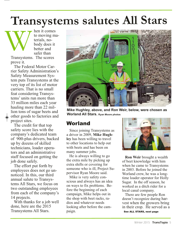# **Transystems salutes All Stars**

W hen it comes to moving materials, nobody does it better and safer than Transystems. The scores prove it.

The Federal Motor Carrier Safety Administration's Safety Measurement System puts Transystems at the very top of its list of motor carriers. That is no small feat considering Transystems' units run more than 33 million miles each year hauling more than 22 million tons of sugar beets and other goods to factories and project sites.

The credit for that top safety score lies with the company's dedicated team of 900-plus drivers, backed up by dozens of skilled technicians, loader operators and an administrative staff focused on getting the job done safely.

The effort put forth by employees does not go unnoticed. In this, our third annual salute to Transystems All Stars, we focus on two outstanding employees from each of the company's 14 projects.

With thanks for a job well done, here are the 2015 Transystems All Stars.



**Mike Hughley, above, and Ron Weir, below, were chosen as Worland All Stars. Ryan Moore photos**

### Worland

Since joining Transystems as a driver in 2009, **Mike Hughley** has been willing to travel to other locations to help out with beets and has been on many summer jobs.

He is always willing to go the extra mile by picking up extra shifts or covering for someone who is ill, Project Supervisor Ryan Moore said.

Mike is very safety conscious and always has an idea on ways to fix problems. Before the beginning of each campaign, Mike helps out in the shop with beet racks, radios and whatever needs looking after before the campaign.



**Ron Weir** brought a wealth of beet knowledge with him when he came to Transystems in 2003. Before he joined the Worland crew, he was a longtime loader operator for Holly Sugar. In the off season, he worked as a ditch rider for a local canal company.

There are few people Ron doesn't recognize during har-<br>vest when the growers bring in their crop. He served as a See ALL STARS, next page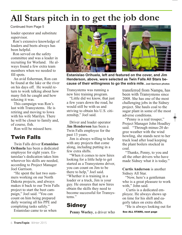# **All Stars pitch in to ge<sup>t</sup> the job done**

Continued from Page 5

loader operator and substitute supervisor.

Ron's extensive knowledge of loaders and beets always has been helpful.

Ron served on the safety committee and was a leader in recruiting for Worland. He always found a few extra team members when we needed to fill spots.

An avid fisherman, Ron can be found at the lake or the river on his days off. He would return to work talking about how many fish he caught and how relaxing it was.

This campaign was Ron's last with Transystems. He is retiring and moving to Iowa with his wife Marilyn. There he will be closer to family and, of course, fish.

Ron will be missed here.

### Twin Falls

Twin Falls driver **Estanislao Orihuela** has been a dedicated employee for eight years. Estanislao's dedication takes him wherever his skills are needed, according to Project Manager Joel Garrison.

"He spent the last two summers working on our North Dakota projects, and always makes it back to our Twin Falls project to start the beet campaign," Joel said. "You can count on him being prepared daily wearing all his PPE and completing tasks safely."

Estanislao came to us when





**Estanislao Orihuela, left and featured on the cover, and Jim Henderson, above, were selected as Twin Falls All Stars because of their willingness to go the extra mile. Joel Garrison photos**

Transystems was running a new hire training program.

"Little did we know, that just a few years down the road, he would still be with us and striving to obtain his U.S. citizenship," Joel said.

Driver and loader operator J**im Henderson** has been a Twin Falls employee for the past 13 years.

Jim is always willing to help with any projects that come along, including putting in a few extra shifts.

"When it comes to new hires looking for a little help to get started as a Transystems driver, you can count on Jim to be there to help," Joel said. "Whether it is training in a loader or a truck, Jim is your guy. He ensures that new hires obtain the skills they need to become successful for Transystems."

### **Sidney**

**Penny Worley**, a driver who

transferred from Nampa, has been with Transystems since 2008. She has one of the most challenging jobs in the Sidney project. She hauls coal to the sugar plant in some of the most adverse conditions.

"Penny is a real trouper," Project Manager John Hoadley said. "Through minus-20 degree weather with the wind howling, she stands next to her truck load after load keeping the plant boilers stocked in coal.

"Thanks, Penny, to you and all the other drivers who have made Sidney what it is today."

**Curtis Anderson** is another Sidney All Star.

"Now, here's a gentleman who is a great pleasure to work with." John said.

Curtis is a dedicated employee. He always shows up on time for his shift and eagerly takes on extra shifts.

"He is always looking out for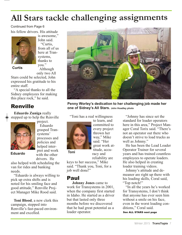# **All Stars tackle challenging assignments**

Continued from Page 6

his fellow drivers. His attitude



is awesome," John said. "Curtis, from all of us here at Transystems, thanks to you." Although

**Curtis**

only two All Stars could be selected, John expressed his gratitude to his entire staff.

"A special thanks to all the Sidney employees for making this place rock," he said.

### Renville

**Eduardo Zuniga** really stepped up to help the Renville project.



Eduardo grasped Transystems' processes and policies and helped interpret and work **Eduardo Predict Manufacture Toni**<br>
with the other drivers. He

also helped with scheduling the van for rides and banking needs.

"Eduardo is always willing to pick up extra shifts and is noted for his smiling face and good attitude," Renville Project Manager Mike Rood said.

**Toni Blood**, a new clerk this campaign, stepped into Renville's fast-paced environment and excelled.



**Penny Worley's dedication to her challenging job made her one of Sidney's All Stars. John Hoadley photo**

"Toni has a real willingness



committed to every project thrown her way," Mike said. "Her great work attitude, accu-

to learn, and

racy and reliability are

keys to her success," Mike said. "Thank you, Toni, for a job well done!"

### Paul

**Johnny Jones** came to work for Transystems in 2001, when the company first started in Idaho. He started as a driver but that lasted only three months before we discovered that he had great potential as a loader operator.

"Johnny has since set the standard for loader operators here in this area," Project Manager Coral Torix said. "There's not an operator out there who doesn't strive to load trucks as well as Johnny."

He has been the Lead Loader Operator Trainer for several years and has trained countless employees to operate loaders. He also helped in creating loader training videos.

Johnny's attitude and demeanor are right up there with his loading skills, Coral said, "Top notch!"

"In all the years he's worked for Transystems, I don't think that anyone has ever seen him without a smile on his face, even in the worst loading conditions," Coral said.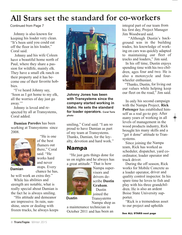# **All Stars set the standard for co-workers**

Continued from Page 7

Johnny is also known for keeping his loader very clean. "It's been said you could eat off the floor in his loader," Coral said.

Johnny and his wife Coleen have <sup>a</sup> beautiful home north of Paul, where they share <sup>a</sup> passion for wildlife, mainly elk. They have <sup>a</sup> small elk ranch on their property and it has become one of their favorite hobbies.

"I've heard Johnny say, 'Soon as I ge<sup>t</sup> home to my elk, all the worries of day just go away."

Johnny is loved and respected by all at Transystems, Coral added.

**Damian Paredes** has been working at Transystems since 2008.



"He is one of the best flumers out there," Coral said. "He works hard and never stops. Every chance he has,

**Damian**

he will work an extra day."

While his abilities and strength are notable, what is really special about Damian is the fact he is always smiling.

"His attitude and demeanor are impressive. In rain, sunshine, snow or dealing with frozen trucks, he always keeps



**Johnny Jones has been with Transystems since the company started working in Idaho. He sets the standard for loader operators. Coral Torix photo**

smiling," Coral said. "I am so proud to have Damian as par<sup>t</sup> of my team at Transystems. Thanks, Damian, for the loyalty, devotion and hard work."

### Nampa

"He just gets things done for us on nights and he always has <sup>a</sup> grea<sup>t</sup> attitude." That is how



**Dustin**

Nampa supervisors and drivers describe **Dustin Graham**. Dustin joined the

**Transystems** Nampa shop as

<sup>a</sup> maintenance technician in October 2011 and has been an integral par<sup>t</sup> of our team from his first day, Project Manager Jim Woodward said.

"Although Dustin's background was in the building trades, his knowledge of working on cars was quickly adapted to maintaining our fleet of trucks and loaders," Jim said.

In his off time, Dustin enjoys spending time with his two children, ages four and two. He is also a motorcycle and fourwheeler enthusiast.

"Thanks, Dustin, for living out our values while helping keep our fleet on the road," Jim said.

In only his second campaign with the Nampa Project, **Rick Pottenger** has established himself as <sup>a</sup> real go-to guy. After many years of working in all levels of managemen<sup>t</sup> in the wood products industry, Rick brought his many skills and <sup>a</sup> "get it done" attitude to Transystems.

Since joining the Nampa team, Rick has worked as scheduler, dispatcher, yard coordinator, loader operator and truck driver.

During the off season, Rick works for Mobile Concrete as <sup>a</sup> loader operator, driver and quality control inspector. In his spare time he loves to fish and play with his three grandchildren. He is also an ardent Boise State University supporter.

"Rick is <sup>a</sup> tremendous asset to our project and upholds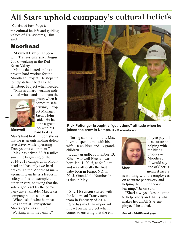# **All Stars uphold company's cultural beliefs**

the cultural beliefs and guiding values of Transystems," Jim said. Continued from Page 8

### Moorhead

**Maxwell Lamb** has been with Transystems since August 2008, working in the Red River Valley.

Max is dedicated and is a proven hard worker for the Moorhead Project. He steps up to help deliver beets to the Hillsboro Project when needed.

"Max is a hard working individual who stands out from the



group when it comes to safe driving," Project Manager Jason Holm said. "He has done a great job with his hard brakes.

#### **Maxwell**

Max's hard brake report shows that he is an outstanding defensive driver while operating-Transystems equipment."

Max has driven 38,500 miles since the beginning of the 2014-2015 campaign in Moorhead and has only two hard brakes. To the Moorhead management team he is a leader in safety and is an example to other drivers, showing that the safety goals set by the company are attainable. Max takes company policies to heart.

When asked what he most likes about at Transystems, Max's reply was simple: "Working with the family."



**Rick Pottenger brought a "get it done" attitude when he joined the crew in Nampa. Jim Woodward photo**

During summer months, Max loves to spend time with his wife, 10 children and 13 grandchildren.

Lucky grandbaby number 13, Ethen Maxwell Flecher, was born Jan. 1, 2015, at 6:43 a.m. and was officially the first baby born in Fargo, ND, in 2015. Grandchild Number 14 is due in May.

**Sheri Evenson** started with the Moorhead Transystems team in February of 2014.

She has made an important impact on the project when it comes to ensuring that the em-



**Sheri**

ployee payroll is accurate and helping with the hiring process in Moorhead. "I would say one of Sheri's greatest assets

is working with the employees on accurate paperwork and helping them with their e learning," Jason said.

"Sheri always takes the time to help others and that is what makes her an All Star employee," he added.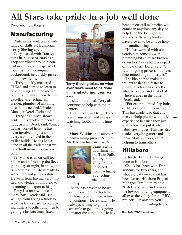# **All Stars take pride in a job well done**

Continued from Page 9

### Manufacturing

Pride in his work and a wide range of skills set technician **Terry Sieving** apart.

Terry started with Transystems in August of 2006 as a shop coordinator to help control inventory and paperwork. Coming from a computer background, he quickly picked up on new skills.

"Terry quickly mastered TUMS and started to learn to repair things. He then moved out into the shop where he has excelled as a technician, welder, plumber of anything else that is needed," Project Manager Derek Torix said.

"Terry has always shown pride in his work and been a huge asset," Derek said. "Since he has worked here, he has been involved in just about every step involved in the trailer builds. He has had a hand in all the trailers that we have built in one way or another"

Terry also is an on-call technician and helps keep the fleet going day or night, in snow, rain or sunshine. He is ready to work hard and get jobs done. He went from having very limited knowledge of this field to becoming an expert at his job.

Terry is a man who wears many hats, Derek said. He will go from fixing a truck to welding trailer parts to plumbing trailers together and then to getting a broken truck fixed on



**Terry Sieving takes on whatever tasks need to be done in manufacturing. Derek Torix photo**

the side of the road. Terry also continues to help with the inventory.

A native of San Diego, Terry is a Chargers fan and enjoys watching football on his time off.

**Mark Wilkinson** is another manufacturing project All Star. Mark began his career with



**Transystems** as a flumer at the Twin Falls factory in 2004. In 2011, he joined manufacturing as a technician and

plumber

"Mark has proven to be well worth his weight for both the maintenance and manufacturing positions," Derek said. "He is always willing to go the extra mile to get a truck going no matter the condition. He has been an on-call technician who comes in anytime, any day, to help keep the fleet going." Mark's skills as a plumber have proven to be a huge help in manufacturing.

"He has worked with our vendors to come up with plumbing kits that are broken down to sub-kits for every part of the trailer," Derek said. "It is an ongoing process, but he is determined to get it perfect."

The kits help to make the trailers easier and faster to plumb. Each kit has exactly what is needed and a label of where it goes in the trailer, Derek said.

"For example, mud flap bolts or ABS valve fittings or so on. This has made it so that anyone can help plumb with little experience because they just grab a box and put it where the label says it goes. This has also made everything more uniform. Mark is also great at helping to train others."

### Hillsboro

**Chuck Hun**t gets things done in Hillsboro.

Chuck has been with Transystems for two years, and what a great two years it has been for us, Hillsboro Project Manager Tim Plumley said. "Lately you will find him in the lowboy moving equipment all over the valley for the RRV projects. On any day you might find him hauling beets,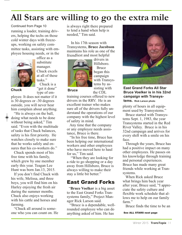# **All Stars are willing to go the extra mile**

running a loader, training drivers, helping the techs on those cold winter days with freezeups, working on safety committee tasks, assisting with employee housing needs, or in the Continued from Page 10



office as a substitute manager. Chuck excels at all of these tasks." Chuck is a

"get it done" **Chuck Bruce** type of em-

ployee. It does not matter if it is 30 degrees or -30 degrees outside, you will never hear him complain about anything.

"He is always on the ball,  $\bigcirc$  doing what needs to be done without being asked," Tim said. "Even with the multitude of tasks that Chuck balances, safety is his first priority. He watches closely to make sure that he works safely and ensures that his co-workers do."

Chuck spends most of his free time with his family, which grew by one member early this year. Teagan Lee Hunt was born Jan.13, 2015.

If you don't find Chuck with his wife, Melissa, and three boys, you will find him on his Harley enjoying the fresh air during the summer months. Chuck also enjoys working with his cattle and horses and farming.

"Chuck all around is someone who you can count on. He

is always right there prepared to lend a hand when help is needed," Tim said.

In his 17th season with Transystems, **Bruce Jacobson**  maintains his role as one of the friendliest and most helpful



drivers in Hillsboro. Bruce began this campaign with Transystems by assisting with the CDL

training courses offered to new drivers in the RRV. He is an excellent trainer who makes sure all of the drivers fully understand the operations of our company with the highest level of safety in mind.

Any time that the company or any employee needs assistance, Bruce is there.

"In his free time, Bruce has been helping our international workers and other employees who have moved here to haul for us," Tim said.

"When they are looking for a ride to go shopping or a day away from Hillsboro, Bruce is always willing to make their stay a little bit better."

### East Grand Forks

"**Bruce Voelker** is a big asset to the East Grand Forks Transystems family," Project Manager Rick Larson said.

"Bruce is a dependable, wellrounded employee who can do anything asked of him. He has



**East Grand Forks All Star Bruce Voelker is in his 32nd campaign with Transystems. Rick Larson photo**

plenty of hours in all equipment used by Transystems."

Bruce started with Transystems Sept. 1, 1983, the year Transystems started in the Red River Valley. Bruce is in his 32nd campaign and arrives for every shift with a smile on his face.

Through the years, Bruce has had a positive impact on many other employees. He passes on his knowledge through training and personal experiences. Bruce has made many great friends while working at Transystems.

When Rick asked Bruce what brings him back year after year, Bruce said, "I appreciate the safety culture and flexible work schedule that allows me to help on our family farm."

Bruce finds the time to be an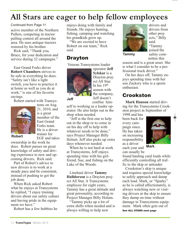# **All Stars are eager to help fellow employees**

Continued from Page 11

active member of the Northern Pullers, competing in tractor pulling contest all around the area. He uses antique tractors restored by his brother.

Rick said, "Thank you, Bruce, for your dedication and service during 32 campaigns."

East Grand Forks driver **Robert Chambers** strives to be safe in everything he does. "Safety isn't like a light switch, you have to practice it at home as well as you do at work," is one of his favorite sayings.

Robert started with Transys-



tems on Aug. 21, 2010, and is a great member of the East Grand Forks team. He is a driver trainer for EGF and takes

**Robert**

ownership in the work he does. Robert passes on great knowledge of safety and driving experience to new and upcoming drivers, Rick said.

Part of Robert's advice to new drivers is to work at a steady pace and be consistent, instead of pushing to get the job done.

When Rick asked Robert what he enjoys at Transystems he replied, "I enjoy training drivers about our safety culture and having pride in the equipment we have."

Robert has a few hobbies he

enjoys doing with family and friends. He enjoys hunting, fishing, camping and watching his grandkids grow up.

"We are excited to have Robert on our team," Rick said.

### Drayton

Veteran Transystems loader



operator **Jeff Sylskar** is a Drayton project All Star. In his 19th season with the company, Jeff doesn't confine him-

**Jeff**

self to working as a loader operator. He also helps out in the shop when needed.

"Jeff is the first one to help out in the shop or to come in on his day off to help with whatever needs to be done," says Project Manager Billy Holum. Jeff also picks up extra days whenever needed.

When he is not hard at work at Transystems, Jeff enjoys spending time with his girlfriend, Sue, and fishing on the Lake of the Woods.

Linehaul driver **Tammy Halldorson** is a Drayton project All Star. A Transystems employee for eight years, Tammy has a great attitude and great personality, according to Project Manager Billy Holum.

"Tammy picks up a lot of extra shifts when needed and is always willing to help new



drivers and drivers from other projects," Billy said. "Tammy joined the safety com-

mittee this

**Tammy**

season and is a great asset. She is what I consider to be a professional truck driver."

On her days off, Tammy enjoys spending time with her son Zackery who is a sports enthusiast.

### Crookston

**Mark Hanson** started driving for the Transystems Crookston project in September of

1998 and has been back for every campaign since. He has taken on increasing responsibility as a driver each year and can usually be



**Mark**

found hauling yard loads while efficiently controlling all traffic to the skip or unloader.

Crookston's skip is unique and requires special knowledge to safely approach and dump each load. Mark, or "Sparky" as he is called affectionately, is always watching new or visiting drivers at the skip to ensure they dump on time without damage to Transystems equipment. Mark often gets out of See ALL STARS next page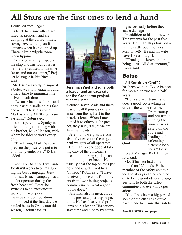# **All Stars are the first ones to lend a hand**

Continued from Page 12

his truck to ensure others are lined up properly and are dumping at the correct times, saving several bumpers from damage when being tipped up. There is little wiggle room when tipping.

"Mark constantly inspects the skip and has found issues before they caused down time for us and our customer," Project Manager Robin Novak said.

Mark is ever ready to suggest a better way to manage his and others' time to minimize line drivers' wait times.

"Because he does all this and does it with a smile on his face and a chuckle is his voice, Mark is a true All Star at Transystems," Robin said.

In his spare time, Sparky is often hunting or fishing with his brother, Mike Hanson, with whom he rides to work every day.

"Thank you, Mark. We appreciate the pride you put into your daily endeavors," Robin added.

Crookston All Star **Jeremiah Wishard** wears two hats during the beet campaign. Jeremiah starts each campaign as a loader operator during the fresh beet haul. Later, he switches to an excavator to work on frozen piles. He excels in both positions.

"I noticed it the first day we hauled beets in Crookston this season," Robin said. "I



**Jeremiah Wishard runs both a loader and an excavator for the Crookston project. Robin Novak photo**

weighed seven loads and there was only 400 pounds difference from the lightest to the heaviest load. When I mentioned it to others at the project, they said, 'Oh, those are Jeremiah loads.'"

Jeremiah's weights are consistently nearest to the target haul weights of all operators.

Jeremiah is very good at taking care of the customer's beets, minimizing spillage and not running over beets. He is usually near the top on tons per hour and is well liked by all. "In fact," Robin said, "I have received phone calls from drivers from two visiting projects commenting on what a good iob he does."

Jeremiah also is meticulous in his pre- and post-trip inspections. He has discovered problems on his loader. His actions save time and money by catching issues early before they cause damage

In addition to his duties with Transystems for the past five years, Jeremiah stays busy on a family cattle operation near Mentor, MN. He and his wife have 1-year-old girl.

"Thank you, Jeremiah for being a true All Star operator," Robin said.

### **Boise**

All Star driver **Geoff Glenn**  has been with the Boise Project for more than two and a half years.

"He is a driver trainer and does a good job teaching new drivers the whole routine:



**Geoff**

From startup and pre-trip to running the winch trucks, safety on the route and loading and unloading at different locations," Boise

Project Manager Kirk Elling-

ford said.

Geoff has not had a loss in more than 125 loads. He is a member of the safety committee and always can be counted on to bring good ideas and suggestions to both the safety committee and everyday operations.

"Geoff has been a big part of some of the changes that we have made to ensure that safety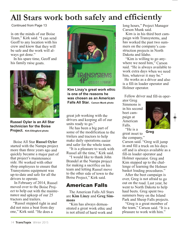# **All Stars work both safely and efficiently**

Continued from Page 13

is on the minds of our Boise Team," Kirk said. "I can send Geoff to any location with his crew and know that they will be safe and the work will always ge<sup>t</sup> done."

In his spare time, Geoff and his family raise goats.



**Russel Oyler is an All Star technician for the Boise Project. Kirk Ellingford photo**

Boise All Star **Russel Oyler**  started with the Nampa project more than three years ago and quickly became <sup>a</sup> major par<sup>t</sup> of that project's maintenance side. He worked with other shop employees to ensure that Transystems equipment was up-to-date and safe for all the drivers to operate.

In February of 2014, Russel moved over to the Boise Project to help out with the maintenance and upkeep of our 25 tractors and trailers.

"Russel stepped right in and did not miss <sup>a</sup> beat from day one," Kirk said. "He does <sup>a</sup>



**Kim Linzy's great work ethic is one of the reasons he was chosen as an American Falls All Star. Carson Munk photo**

great job working with the drivers and keeping all of our units ready to go."

He has been <sup>a</sup> big par<sup>t</sup> of some of the modification to the trailers and tractors to help make daily operations easier and safer for the whole team.

"It is <sup>a</sup> pleasure to work with Russel all the time," Kirk said.

"I would like to thank John Brandel at the Nampa project for making <sup>a</sup> sacrifice on his team and letting Russel move to the other side of town to the Boise Project," Kirk said.

### American Falls

The American Falls All Stars are **Kim Linzy** and **Greg Simmons**

"Kim has always demonstrated <sup>a</sup> grea<sup>t</sup> work ethic and is not afraid of hard work and long hours," Project Manager Carson Munk said.

Kim is in his third beet campaign with Transystems, and has worked the pas<sup>t</sup> two summers on the company's construction projects in North Dakota and Idaho.

"Kim is willing to go anywhere we need him," Carson said. "He is always available to work extra days when we need him, whatever it may be."

He works as <sup>a</sup> driver and also is <sup>a</sup> fill-in loader operator and Holmer operator.

Fellow driver and fill-in oper-

ator Greg Simmons is in his second beet campaign at American Falls. "He is <sup>a</sup>



**Greg**

great asset to the company," Carson said. "Greg will jump in and fill <sup>a</sup> truck on his days off and is always available as <sup>a</sup> fill-in loader operator and Holmer operator. Greg and Kim stepped up to the challenge of learning the Holmer basket loading procedures."

After the beet campaign is over, Greg is not afraid to go out on the road. Last year, he went to North Dakota to help haul beets. Greg spen<sup>t</sup> two summers busy on the Island Park and Sheep Falls projects.

"Greg is <sup>a</sup> grea<sup>t</sup> member of the team," Carson said. "It is <sup>a</sup> pleasure to work with him."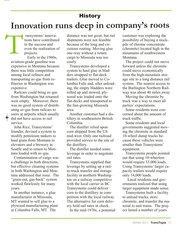# **History Innovation runs deep in company's roots**

ransystems' innovations have contributed to the success and even the realization of projects.

T Early in the 1960s, aviation-grade gasoline was expensive in Montana because there was little competition among local refiners and transporting av-gas from refineries in Washington was expensive.

Railcars could bring av-gas from Washington but returned west empty. Moreover, there was no good system of distributing av-gas from railcars to users at airports which usually did not have access to rail service.

John Rice, Transystems' founder, devised a system to modify petroleum tankers to haul grain from Montana to elevators and a brewery in Seattle and to return to Montana loaded with av-gas.

Contamination of cargo was a challenge in both directions, but effective cleaning systems in both Washington and Montana addressed that issue. The "grain-out, gas-back" system worked flawlessly for many years.

In another instance, a glue manufacturer in Missoula, MT wanted to sell glue to a plywood manufacturing plant at Columbia Falls, MT. The

distance was not great, but rail shipments were not feasible because of the long and circuitous routing. Moving glue one-way without a return cargo to Missoula was too costly.

Transystems developed a system to haul glue in bladders strapped to flat-deck trailers. Glue moved to Columbia Falls and, after unloading, the empty bladders were rolled up and stowed, plywood was loaded onto the flat-decks and transported to the fast-growing Missoula area.

Another customer had a distillery in southeastern British Columbia.

The distiller relied upon corn shipped from the US mid-west. Only one railroad provided service to the site of the distillery.

The distiller needed some leverage in order to negotiate rail rates.

Transystems supplied that leverage by setting up a railto-truck transfer and storage facility in northern Washington on a railway competitive with the local carrier in BC. Transystems could deliver corn to the distillery in competition with the local railway. The alternative for corn delivery held rail rates in check.

In the mid-1970s, a potential

customer was exploring the possibility of buying a stockpile of chrome concentrate (chromite) located high in the mountains of southwestern Montana.

The project could not move forward unless the chromite could move economically from the high-mountain storage site to a long distance rail system. The nearest access to the Burlington Northern Railway was about 40 miles away.

Moving the chromite by truck was a way to meet all parties' expectations.

Some residents were concerned about the amount of truck traffic.

Some residents and local governments suggested moving the chromite in standard 10-wheel dump trucks because these vehicles were smaller than Transystems' equipment.

Transystems people pointed out that using 10-wheelers would require 33,000 loads. Using Transystems' larger capacity trailers would require only 14,000 loads.

Local residents and governments realized that using larger equipment made sense.

Transystems built a facility to unload trucks, store chromite, and transfer the material to unit trains. The project lasted a number of years.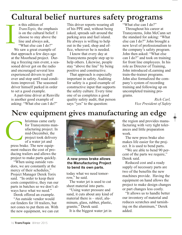# **Cultural belief nurtures safety programs**

n this edition of *TransTopix,* the emphasis is on the cultural belief: I choose to stay above the line and always ask, "What else can I do?"

We saw a great example of that approach a few days ago at the Moorhead project. During a freezing rain event, a seasoned driver got on the radio and encouraged several less experienced drivers to pull over and stop until road conditions improved. The seasoned driver himself parked in order to set a good example. I

A part-time driver at Renville is another good example of asking: "What else can I do?"

This driver reports wearing all of his PPE and, without being asked, spreads salt around the parking area and fuel island. He always is willing to help out in the yard, shop and office, wherever he is needed.

I know that every day at Transystems people step up to help others. Likewise, people stay "above the line" by being positive and constructive.

That approach is especially important in safety. Auditing for safety is a good example of constructive input that supports the safety culture. Every time one of us completes a good quality safety audit, that person says "yes" to the question:

"What else can I do?"

Throughout his career at Transystems, John McCann set the standard for asking: "What else can I do?" John brought a new level of professionalism to the company's safety program. John then asked: "What else can I do?" and took on training for front line employees. In his role as Director of Training, John introduced eLearning and train-the-trainer programs. John also formalized the company's system of recording training and following up on uncompleted training programs.

> *Rich Carl, Vice President of Safety*

# **New equipment gives manufacturing an edge**

hristmas came early for Transystems manufacturing project. In mid-December, the project took delivery of a water jet and press brake. The new equipment reduces the cost of producing trailers and allows the project to make parts quickly. C<br>press bra

> "When using outside vendors, we are constantly at the mercy of their schedules," Project Manager Derek Torix said. "In order to keep their costs competitive, they run our parts in batches so we don't always have what we need."

Derek offered an example.

"An outside vendor would cut fenders for 10 trailers, but not cones to put them on. With the new equipment, we can cut



#### **A new press brake allows the Manufacturing Project to bend its own parts.**

today what we need tomorrow," he said.

The water jet is used to cut sheet material into parts.

"Using water pressure and sand, it cuts about any kind of material there is – steel, aluminum, glass, rubber, plastic, granite," Derek said.

It is the biggest water jet in

the region and provides manufacturing with very tight tolerances and little preparation work.

The new press brake also makes life easier for the project. It is used to bend parts.

"We are able to bend 90 percent of the parts we require," Derek said.

Reduced cost and a ready supply of necessary parts are two of the benefits the new machines provide. Having the equipment on hand allows the project to make design changes or part changes less costly.

"It allows us to handle better our inventory of material and reduces scratches and tarnishing on the aluminum," Derek added.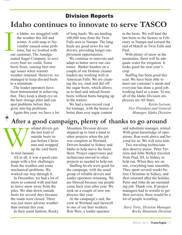# Division Reports **Idaho continues to innovate to serve TASCO**

**I**<br>ou n Idaho, we struggled with the weather this fall and winter. A cold snap in November caused some problems, but we worked with our customer, The Amalgamated Sugar Company, to save every beet we could. Some beets froze, causing beet storage issues when warmer weather returned. However, we managed to keep discard beets to a minimum.

> The loader operators have been instrumental in achieving that. They keep a sharp eye on the beet storage piles and can spot problems before they grow into big problems.

of long hauls. We are hauling 100,000 tons from the Twin Falls area to Nampa. The long hauls are good news for our drivers, providing longer employment opportunities.

We continue to innovate and adapt to better serve our customer. Basket headers on a couple of our Holmer cleaner loaders are working well in American Falls. We are cleaning the ice, mud and dirt off the sugar beets, which allows us to haul and unload frozen beets without beets hanging up in the trailers.

We had a near-record crop for tonnage, with the bonus of better than ever sugar content

in the beets. We will haul the last beets to the factory in February in Nampa and toward the end of March in Twin Falls and Paul.

With plenty of snow in the mountains, there will be adequate water for irrigation. It looks good for next year's crop.

Staffing has been good this year. We have been able to meet our customer's needs and everyone has done a good job, working hard as a team. To me, all of the Idaho Division employees are All Stars.

*Kevin Iversen, Vice President and General Manager, Idaho Division*

Again this year, we have a lot

## **After a good campaign, plenty of thanks to go around**

orland drivers got the last load of outside beets injust before Christmas and wrapped up the yard beets

W in mid-January.

> All in all, it was a good campaign with a few challenges from the weather and some mechanical problems. We worked our way through it.

In December, we had a lot of snow to contend with and had to move snow away from the piles. We shut down outside beets for several days because the roads were closed. There was just more adverse weather than normal this year.

In their usual fashion, Rocky

Mountain Division drivers stepped up to lend a hand to other projects when the job was complete in Worland. Drivers headed to Sidney and Idaho to help move the beets there. Project supervisors and technicians moved to other projects as needed to help out.

Staffing levels were good for the campaign, with the usual group of reliable drivers and loader operators returning. We are blessed because our people come back year after year. We took on a couple of new employees this year.

At the campaign's end, the crew at Worland said farewell to one of our best workers. Ron Weir, a loader operator

and substitute manager, retired. With great knowledge of operations, Ron went above and beyond for us. We will miss him.

Two traveling technicians also deserve praise. Peter Perreira and John Welker traveled from Paul, ID, to Sidney to help out. When they are on site, everything runs smoothly. They spent several weeks before Christmas in Sidney, and then returned after the holiday. Peter and John do an outstanding job. Thank you. If project managers had to wrestle to get their services, there would be a lot of people wrestling.

*Steve Torix, Division Manager, Rocky Mountain Division*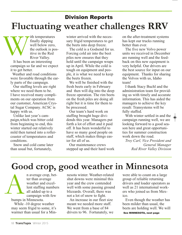# **Fluctuating weather challenges RRV** Division Reports

ith temperatures finally dipping well below zero, the outlook is positive in the Red River Valley.

It has been an interesting campaign so far and we expect it to get better. W

Weather and road conditions were favorable through the early parts of the campaign.

Our staffing levels are right where we need them to be. I have received many compliments on our operation from our customer, American Crystal Sugar Company. ACSC is happy with us.

Unlike last year's campaign,which was bitter cold from beginning to end, this winter started out relatively mild then turned into a rollercoaster of temperatures and conditions.

Snow and cold came later than usual but, fortunately,

winter arrived with the necessary frigid temperatures to get the beets into deep freeze.

The cold is a Godsend for us. Forcing cold air into the beet piles now ensures that they hold until the campaign wraps up in April. While the cold is tough on equipment and people, it is what we need to keep the beets frozen.

We will be finished with the fresh beets early in February and then will dig into the deep freeze operation. The rim beets on the fresh piles are doing all right but it is time for them to be processed.

Our team's hard work on staffing brought huge dividends this year. Managers put forth a lot of effort and it paid off. It has been wonderful to have so many good people on staff, which makes things easier for all of us.

Our maintenance crews stepped up and their hard work on the after-treatment systems has kept our trucks running better than ever.

The five new Volvo power units we received in December are running well and the feedback on this new equipment is very helpful. Our drivers are the best source for input on our equipment. Thanks for sharing the Volvos with us, Idaho team!

I thank Stacy Buchl and the administration team for providing us with timely and accurate information. This has aided the managers to achieve the key result: Transystems will be fully staffed.

With winter settled in and the campaign running well, we are looking forward to a good season here and great opportunities for summer construction work down the road.

*Troy Carl, Vice President and General Manager Red River Valley Division*

# **Good crop, good weather in Minnesota**

n average crop, better than average weather and excellent staffing numbers all added up to a campaign with few bumps in Minnesota. While -10 degree weather may seem frigid to some, it's warmer than usual for a Min-A

nesota winter. Weather-related shut downs were minimal this year and the crew contended well with some passing ground blizzards. Overall, there was not a lot of snow to fight.

An increase in our fleet size meant we needed more staff. We went from a base of 84 drivers to 96. Fortunately, we were able to count on a large group of reliable returning drivers and loader operators as well as 21 international workers who joined us from Mexico.

Even though the weather has been milder than usual, the beets are holding well. We will See MINNESOTA, next page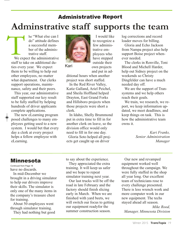# **Adminstrative staff supports the team** Administrative Report

he "What else can I do" attitude defines a successful member of the administrative staff. We expect the administrative staff to take on additional duties every year. We expect them to be willing to help out other employees, no matter what department. Our clerks support operations, maintenance, safety and their peers. We exp

This year, our administrative staff supported our key result to be fully staffed by helping hundreds of driver applicants complete applications.

The new eLearning program posed challenges to many employees getting used to a new system. I would bet that every day a clerk at every project helps a fellow employee with eLearning.



Kari

I would like to recognize a few administrative employees who have stepped outside their own projects and put in ad-

ditional hours when another project was short staffed.

In the Red River Valley, Katie Galland, Ariel Peichel, and Sheila Hoffland helped Drayton, East Grand Forks and Hillsboro projects when those projects were short a clerk.

In Idaho, Shelly Brummond put in extra time to fill in for another clerk on leave, so the division office would only need to fill in for one day.

Gloria Soto helped all projects get caught up on driver

log corrections and record loader moves for billing.

Gloria and Echo Jackson from Nampa project also help support Boise project whenever needed.

The clerks in Renville, Toni Blood and Michell Harder, help out Sidney project on the weekends so Christy Dingfelder can have a much needed day off.

We are the support of Transystems and we help others reach their goals.

We train, we research, we report, we keep information updated, we meet deadlines, and keep things on task. This is how the administrative team owns it.

> *Kari Franks, Senior Administration Manager*

### Minnesota

have no discards. Continued from Page 18

In mid-December we brought in a driving simulator to help our drivers improve their skills. The simulator is only one of the many items in the company's treasure chest for training.

About 50 employees went through simulator training.

They had nothing but good

to say about the experience.

They appreciated the extra training. It will keep us safer and we hope to repeat simulator training next year.

Our last trucks will be off the road in late February and the factory should finish slicing early in March. When we are finished with yard beets, we will switch our focus to getting our equipment readyfor the summer construction season.

Our new and revamped equipment worked well throughout the campaign. We were fully staffed in the shop all year long. Our excellent team of technicians rose to every challenge presented. There is less wrench work and more computer work in our new equipment. The techs stayed ahead all season.

*Mike Rood, Manager, Minnesota Division*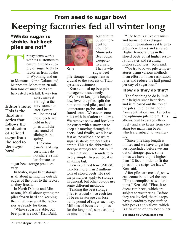# From seed to sugar bowl **Keeping factories fed all winter long**

### "White sugar is stable, but beet piles are not"

ransystems works with its customers to ensure a steady supply of sugar beets to factories from Idaho to Wyoming and on to Montana, North Dakota and Minnesota. More than 20 million tons of sugar beets are harvested each fall. Every ton T

**Editor's note: This is the third in a series that follows the production of refined sugar from the seed to the sugar bowl.**

must make it through a factory sooner or later. Several million tons of those beets are held in beet piles until the last round of slicing in the spring. The company's far-flung customers do not share a similar climate, so

sugar beet storage practices vary.

In Idaho, sugar beet storage is all about getting the outside edges of the piles to the factory as they freeze.

In North Dakota and Minnesota, it's all about getting the piles frozen hard and keeping them that way until the factories are ready for them.

"White sugar is stable, but beet piles are not," Ken Dahl,



Ken

Superintendent for Southern Minnesota Beet Sugar Cooperative, said. That is why sugar beet

Agricultural

pile storage management is crucial to the success of Transystems customers.

Ken summed up beet pile management succinctly. "We like to keep pile heights low, level the piles, split the non-ventilated piles, and use temperature probes and infrared scans. We cover some piles with insulation and tarps. We remove snow and break up ice crusts with a snow cat to keep air moving through the beets. And finally, we slice as fast as possible since white sugar is stable but beet piles aren't. This is the abbreviated storage strategy for SMBSC."

In a nut shell, it sounds relatively simple. In practice, it is anything but.

Ken explained how SMBSC handles more than 2 milliontons of stored beets. He said the principles apply to storage in general, but other co-ops use some different methods.

Tending the beet storage piles is crucial since each ton of beets in storage can lose half a pound of sugar each day. Millions of beets are in piles for the long haul, some as long as nine months.

"The beet is a live organism and burns up stored sugar through respiration as it tries to grow new leaves and survive. Higher temperatures in the stored beets equal higher respiration rates and resulting higher sugar loss," Ken said.

"We try to lower pile temperatures using various methods in an effort to lower respiration rates and reduce the half pound per day of sugar loss."

#### How do they do that?

The first thing to do is limit pile heights since heat rises and is released out the top of the piles. In piles that don't have ventilation fans, 18 feet is the optimum pile height. This allows heat to escape effectively and also keeps from creating too many rim beets which are subject to weathering.

"Since pile strip length is limited and we have to get harvest concluded before we run out of storage space, sometimes we have to pile higher than 18 feet in order to fit the piles on the strips we have," Ken said.

After piles are created, snow cats come in to level the tops. "This accomplishes two functions," Ken said. "First, it reduces rim beets, which are subject to weathering. Before they are leveled, the pile tops have a corduroy type surface with peaks and valleys, which is a function of how beet pilers

See BEET STORAGE, next page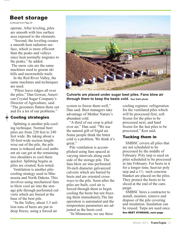### Beet storage

Continued from Page 20

operate. After leveling, piles are smooth with less surface area exposed to the elements.

"Second, the leveling creates a smooth heat radiation surface, which is more efficient than the peaks and valleys since heat normally migrates to the peaks," he added.

The snow cats are the same machines used to groom ski hills and snowmobile trails.

In the Red River Valley, the same machines and techniques are used.

"Pilers leave ridges all over the piles," Dan Gowan, American Crystal Sugar Company's Director of Agriculture, said. "The groomers flatten them out and fix a lot of our problems."

#### Cooling strategies

Splitting is another pile-cooling technique. Normal beet piles are from 220 feet to 240 feet wide. By taking about a 50-foot-wide section lengthwise out of the pile, the pile mass is reduced and cool ambient air can get at the remaining two shoulders to cool them quicker. Splitting begins as piles are created, Ken noted.

Ventilation is another pilecooling strategy used in Minnesota and North Dakota. This involves using mechanical fans to blow cool air into the storage pile through perforated culverts which are buried at the base of the beet pile.

"In the Valley, about 3.3 million tons of beets are put in deep freeze, using a forced air



**Culverts are placed under sugar beet piles. Fans blow air through them to keep the beets cold. Ken Dahl photo**

system to freeze them well," Dan said. Beet managers take advantage of Mother Nature's abundant cold.

"A third of our crop is piled over air," Dan said. "We use the natural gift of frigid air. Some people think the bitter cold is a problem. We think it's great."

Pile ventilation is accomplished using fans spaced at varying intervals along each side of the storage pile. The fans blow air into perforated 30-inch diameter galvanized culverts which are buried by beets and are oriented crossways to the pile. Soon after the piles are built, cool air is forced through them to begin cooling the beets but not freezing them immediately.The fan operation is automated and the temperature parameters are adjusted as the beets cool.

"In Minnesota, we use three

cooling regimes: refrigeration for the ventilated piles which will be processed first; soft frozen for the piles to be processed next; and hard frozen for the last piles to be processed," Ken said.

#### Tucking them in

SMBSC covers all piles that are not scheduled to be processed by the middle of February. Poly tarp is used on piles scheduled to be processed in late February. For beets in it for a longer time, heavier poly tarp and a  $1\frac{1}{2}$ -inch concrete blanket are placed on the piles. They protect the beets to be sliced at the end of the campaign.

SMBSC hires a contractor to install, monitor, remove and dispose of the pile covering and insulation. Insulation can be reused. Tarps are used once. See BEET STORAGE, next page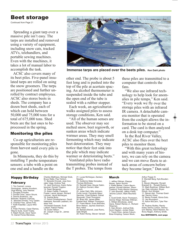### Beet storage

Continued from Page 21

Spreading <sup>a</sup> giant tarp over <sup>a</sup> massive pile isn't easy. The tarps are installed and removed using <sup>a</sup> variety of equipment, including snow cats, tracked ATVs, telehandlers, and portable sewing machines. Even with the machines, it takes <sup>a</sup> lot of manual labor to accomplish the task.

ACSC also covers many of its beet piles. Five-panel insulated tarps are rolled on using the snow groomers. The tarps are positioned and further unrolled by contract employees. ACSC also stores beets in sheds. The company has <sup>a</sup> dozen beet sheds, each of which can hold between 50,000 and 75,000 tons for <sup>a</sup> total of 675,000 tons. Shed beets are the last ones to beprocessed in the spring.

#### Monitoring the piles

Co-op agriculturists are responsible for monitoring piles from harvest until every pile is gone.

In Minnesota, they do this by installing T probe temperature sensors: <sup>a</sup> tube with <sup>a</sup> point on one end and <sup>a</sup> handle on the



**Immense tarps are placed over the beets piles. Ken Dahl photo**

other end. The probe is about 5 feet long and is pushed into the top of the pile at acertain spacing. An alcohol thermometer is suspended inside the tube and the open end of the tube is sealed with <sup>a</sup> rubber stopper.

Each week, an agriculturistwalks assigned piles to assess storage conditions, Ken said.

"All of the human senses are used. The observer may see melted snow, beet regrowth, or sunken areas which indicate warmer areas. They may smell fermenting which may indicate beet deterioration. They may notice that their feet sink into the pile which may indicate warmer or deteriorating beets."

Ventilated piles have radio transmitting probes instead of the T probes. The temps from

21. Lucas McHargue, Zackary

22. Guillermo Mata Gonzalez, Thomas McKinzey. 23. Randall Hess, Abuzar Salim. 24. Kathryn Durrant, Allen

25. Julian Dahl, Billy Johnson, Curtis Lenoir, Fernando Mayo Sanchez, Chad Rolland, Daniel Stusynski, Chad Thompson. 26. Brian Kitt, James Miller, Ezekiel Nott, William Thompson. 27. Frank Marsh, Evan McEntire, Brion Nelson, Jaymes Swenson,

28. Barbara Brendt, Jose Romo, Gale Wright. 29. Robin Roney, Steven Vansell.

Newton.

French.

Rory Yekel.

these piles are transmitted to <sup>a</sup> computer that controls the fans.

"We also use infrared technology to help look for anomalies in pile temps," Ken said. "Every week we fly over the storage piles with an infrared IR camera. A detachable camera monitor that is operated from the cockpit allows the information to be stored on <sup>a</sup> card. The card is then analyzed on <sup>a</sup> desk top computer."

In the Red River Valley, ACSC also flies over the beet piles to monitor them.

"With this grea<sup>t</sup> technology and with many years of history, we can rely on the camera and we can move fleets to attack areas of concern before they become larger," Dan said.

#### Happy Birthday February

1: Tim Cantrell, Lorena Dominguez, Jeremy Knudson,<br>Virgil McKay, John Weimer.<br>2. Douglas Forsythe.<br>3. Donald Cline, Jason Strunk. 4. Dennis Anderson, Jay Bolinske, Roberto Carhuas. 5. Maxwell Ormsby, Troy Tjaden. 6. Charles Frew, James Fritz. 7. Keith Klawitter, Layce Whitworth. 8. Peter Perreira, Cesar Ramos, Wayne Suda, Scott Troska. 9. Ralph Novak, Dave Taylor. 10. Daniel Flores Mendoza,

Charles Matthews, Michael Sirek, Bruce Watts, Paul Yerbich. 11. Benedict Dvorak, Jose Gonzalez Vega, Andrew Teal. 13. Jack Gochnour, Karim Kehelaouinet, Donald Trogdon. 14. Dawn Bergquist. 15. Adam Cwikla, Frederick Fowler, Laurel Jensen, Richard Lohman, Jacob McHargue. 16. Sophia Bortz. 17. David Christopherson, David Hakeneis, Kenneth Leathers, Andrew Yost. 18.Edward Ewanek, Scott Lothert, Patrick Paslay. 19. Dustin Wilson. 20. Joseph Crego Sr., James Forth.

March

1. Jeffrey Dillman, Eleazar Reyes, Jason Sorrick. 2. Kellie Barker, Cason Baumgartner, Donald Hansen, Sherri<br>Lankford, Fredy Ramos Vasquez. 3. John Brandel, Jeffrey Fields, Jerome Larson, Mark Neumeister.

4. Scott Smith, Kevin Thompson, Dennis Weigt, Nicholas Wittman. 5. William Brockway, Jared Davis, Robert Rainey Jr., Richard Wiseman. 6. Gary Brown, Joshua Eide, Kevin Higdem, Jordan Kisler. 7. Travis Cline, James Coburn, Brian Kimpling, Carson Munk,

Arthur Poppe III. 8. Wendell Berg, Kyle Bouden-

bush. 9. Steven Altepeter, Ronald Brackett Sr., Ronald Rubino. 10. Mark Buethner, William Burling, Dale Johnston, Bryan Roush, Kurt Winkler. 11. Steven Ash, Thomas Goeddel, Derrick Vilven. 12. Becky Purkett, Gloria Soto. 13. Jay Amundson. 15. Aaron McCann, Tyler Pierson. 16. Rodney Bodley, Randy Estes,Tammy Larson, Stormylynn Manley, Illand Mariner, Anthony Negen, Anthony Smith,

See BIRTHDAYS, next page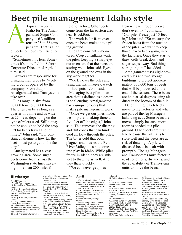# **Beet pile management Idaho style**

near Blackfoot.

sky work together.

ing ground.

field to factory. Other beets come from the far eastern area

The work is far from over once the beets make it to a pil-

Piles are constantly monitored. Crop consultants walk the piles, keeping a sharp eye out to ensure that the beets are storing well, John said. Eyes on the ground and eyes in the

"We fly over the piles and, using thermal imagery, watch for hot spots," John said. Managing beet piles in an area that is defined as a desert is challenging. Amalgamated has a unique process that

makes pile management work. "Once we get our piles made, we strip them, taking three to five feet off the edges," John said. This removes the dirt ring and dirt cones that can hinder cool air flow through the piles.

The bitter cold that both plagues and blesses the Red River Valley does not come into play in Idaho. While piles freeze in Idaho, they are subject to thawing as well. And

typical harvest in Idaho for The Amalgamated Sugar Company is 6.3 million tons or 35 to 36 tons per acre. That is a lot A

of beets to move from field to factory.

"Sometimes it is less. Sometimes it's more," John Schorr, Corporate Director of Agriculture, said.

Growers are responsible for bringing their crops to 74 piling grounds operated by the company. From that point, Amalgamated and Transystems take over.

Piles range in size from 30,000 tons to 85,000 tons. The piles can be as long as a quarter of a mile and as wide as 220 feet, depending on the type of pilers used. Still it may not be enough to hold the crop.

"Our beets travel a lot of miles," John said. "Our constant challenge is how far the beets must go to get to the factory."

Amalgamated has a vast growing area. Some sugar beets come from across the Washington state line, traveling more than 200 miles from

#### **Birthdays**

Ronald Thornton. 17. Keith Bergstresser Jr. 18. James Hove, Richard Pottenger. 19. Jose Roberto Cortes Riveroll, Brian Dufault, Daniel Hendrickson, Michael Mesheski, Eric **Nephew** 20. Jerry Strickland, Aleksandar Zovko. 21. Gary Crowder, Thomas Daniel, Fidelis Fitterer. 22. Loren Bittner, Arlen Hurst. 23. Jimmy Barbre, Todd Breezee, Christopher Canfield, Bruce Feldman, Darcy Hawk. 24. Mark Andreasen, William Helgoe, Michael O'Keefe, Omar Rodriguez Rosales, Julio Cesar Sinohui Ochoa. 25. Kevin Casey, Humberto Ramirez, Jennifer Strohman. 27. Starr Coleman, Maxwell Lamb, Randall Price, Nathan Wrigley. 28. Joseph Hanson, Michell Harder, Michael Hollon, Zachary Jones, Otis Noel. 29. Peggy Brown, Codey Carrick, Carl Glenn, Eustacio Mendoza. 30. Ryan Belen, Steven Burton, Don Christensen, Raymond Higgs, Aron Mullis, Derek Torix, Dirk Torix, Robert Whitaker. 31. Rodrigo Arteaga, Carl Van Voorhees, Dee Yeaman.

April

they thaw quickly.

"We can never get piles

1. Kenneth Brooks, Ryan Combs, David Lines, Randall Rabideaux, Sheri Roberts, Benjamin Walters. 2. Irvan Butler, Deeann Kroshus. 3. Debra Turrentine. 4. Viki Gallagher, Jesus Gomez, Rigoberto Rivera, Dawayne Volk. 5. Brady Schroeder, Bruce Wheatley. 6. Dylan Branden, George Myhre. 7. Brett Roomgaarden, Dennis Dammann, Jim Woodward. 8. James West, Wayne Zimmer. 9. Rase Basta, Juan Ramirez, Roger Rutherford. 10. Kevin Anderson, Craig Berg, Paul Henningsen, Michael

Luibrand. 12. William Luepke, Dedrea Munson. 13. Jason Dybedahl, Kevin Mueller, April Sharp, Steve Worner. 14. Corey Dalzell, James John-son, Farron Rice. 15. Rodrigo Flores Ruiz, Howard Jensen, Jacob Larson, Ronald Lusk. 16. Jeremy Love. 17. James Burgmeyer, Rodolfo Cabrera, Ervin Kerr, Scott Mincer, Dallin Munk, Kent Stokke, Joshua Tousignant. 19. Patricia Culbertson, Todd Jor-gensen, Mark Pearson, April Van Voorhees. 20. Wanda Belanus, Wayne

frozen clear through, so we don't even try," John said. "Our piles freeze just 15 feet in," John said. "So we strip the frozen beets from the outside

of the piles. We want to keep those frozen beets going into the factories. Once they start to thaw, cells break down and sugar seeps away. Bad things start going on," he added.

Amalgamated uses eight covered piles and two storage buildings to protect approximately 700,000 tons of beets that will be processed at the end of the season. These beets are held at 36 degrees using air ducts in the bottom of the pile.

Determining which beets move to the factories and when are part of the Ag Managers' balancing acts. Some beets are moved simply because more room is needed at a pile ground. Other beets are first in line because the pile fails to store well and the beets are at risk of thawing. A pile with diseased beets is dealt with promptly. The Ag Managers and Transystems must factor in road conditions, distances, and the availability of Transystems units to move the beets.

Lusk.

Stevens.

Ruona.

21. Hussain Al Harbyah, Clinton Berg, Omar Elisheo Ibarra Mendez, Michael Wilcoxon. 24. Harry Bullis, Christopher Sommercorn, Brian Thompson. 25. Eulogio Garza Leal, Mark

26. Howard Calhoun, Skip Fowler, Pedro Gonzales, Ronald

27. AnastasioFloriano Luquin, Zachary Love, Jaisiel Morales Garcia, Erik Trejo Gonzalez. 28. James Coleman, Colleen Danielson, Travis Tomberlin, Merrill Valentine, Ryan Walker. 29. Casey Dahl, John Peterson. 30. Jason Baumgartner, David Fuss, Cory Manolovits.